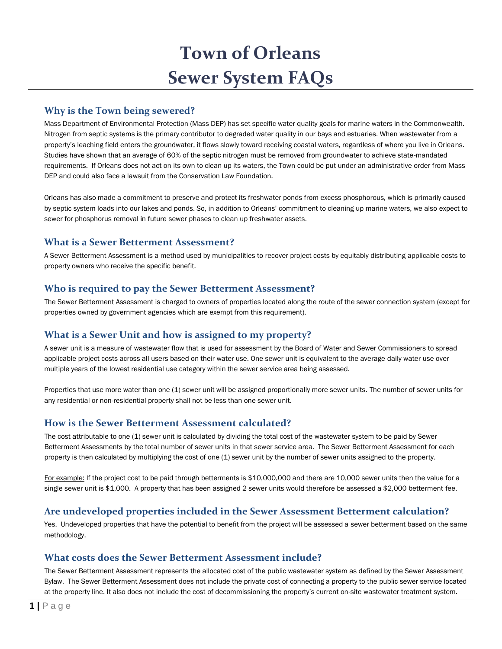# **Town of Orleans Sewer System FAQs**

## **Why is the Town being sewered?**

Mass Department of Environmental Protection (Mass DEP) has set specific water quality goals for marine waters in the Commonwealth. Nitrogen from septic systems is the primary contributor to degraded water quality in our bays and estuaries. When wastewater from a property's leaching field enters the groundwater, it flows slowly toward receiving coastal waters, regardless of where you live in Orleans. Studies have shown that an average of 60% of the septic nitrogen must be removed from groundwater to achieve state-mandated requirements. If Orleans does not act on its own to clean up its waters, the Town could be put under an administrative order from Mass DEP and could also face a lawsuit from the Conservation Law Foundation.

Orleans has also made a commitment to preserve and protect its freshwater ponds from excess phosphorous, which is primarily caused by septic system loads into our lakes and ponds. So, in addition to Orleans' commitment to cleaning up marine waters, we also expect to sewer for phosphorus removal in future sewer phases to clean up freshwater assets.

## **What is a Sewer Betterment Assessment?**

A Sewer Betterment Assessment is a method used by municipalities to recover project costs by equitably distributing applicable costs to property owners who receive the specific benefit.

#### **Who is required to pay the Sewer Betterment Assessment?**

The Sewer Betterment Assessment is charged to owners of properties located along the route of the sewer connection system (except for properties owned by government agencies which are exempt from this requirement).

## **What is a Sewer Unit and how is assigned to my property?**

A sewer unit is a measure of wastewater flow that is used for assessment by the Board of Water and Sewer Commissioners to spread applicable project costs across all users based on their water use. One sewer unit is equivalent to the average daily water use over multiple years of the lowest residential use category within the sewer service area being assessed.

Properties that use more water than one (1) sewer unit will be assigned proportionally more sewer units. The number of sewer units for any residential or non-residential property shall not be less than one sewer unit.

## **How is the Sewer Betterment Assessment calculated?**

The cost attributable to one (1) sewer unit is calculated by dividing the total cost of the wastewater system to be paid by Sewer Betterment Assessments by the total number of sewer units in that sewer service area. The Sewer Betterment Assessment for each property is then calculated by multiplying the cost of one (1) sewer unit by the number of sewer units assigned to the property.

For example: If the project cost to be paid through betterments is \$10,000,000 and there are 10,000 sewer units then the value for a single sewer unit is \$1,000. A property that has been assigned 2 sewer units would therefore be assessed a \$2,000 betterment fee.

## **Are undeveloped properties included in the Sewer Assessment Betterment calculation?**

Yes. Undeveloped properties that have the potential to benefit from the project will be assessed a sewer betterment based on the same methodology.

## **What costs does the Sewer Betterment Assessment include?**

The Sewer Betterment Assessment represents the allocated cost of the public wastewater system as defined by the Sewer Assessment Bylaw. The Sewer Betterment Assessment does not include the private cost of connecting a property to the public sewer service located at the property line. It also does not include the cost of decommissioning the property's current on-site wastewater treatment system.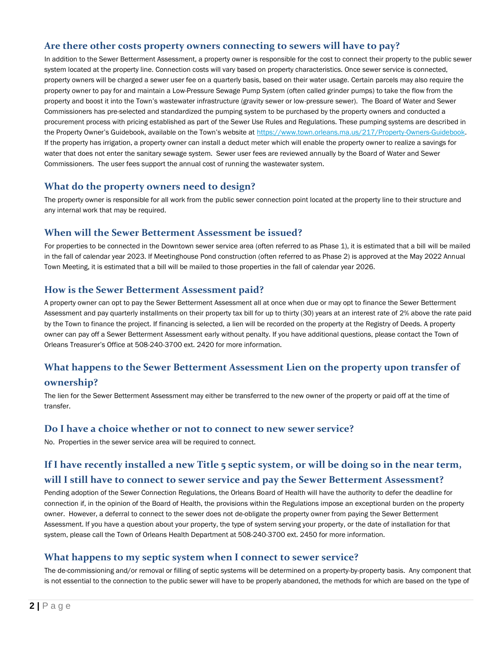## **Are there other costs property owners connecting to sewers will have to pay?**

In addition to the Sewer Betterment Assessment, a property owner is responsible for the cost to connect their property to the public sewer system located at the property line. Connection costs will vary based on property characteristics. Once sewer service is connected, property owners will be charged a sewer user fee on a quarterly basis, based on their water usage. Certain parcels may also require the property owner to pay for and maintain a Low-Pressure Sewage Pump System (often called grinder pumps) to take the flow from the property and boost it into the Town's wastewater infrastructure (gravity sewer or low-pressure sewer). The Board of Water and Sewer Commissioners has pre-selected and standardized the pumping system to be purchased by the property owners and conducted a procurement process with pricing established as part of the Sewer Use Rules and Regulations. These pumping systems are described in the Property Owner's Guidebook, available on the Town's website at [https://www.town.orleans.ma.us/217/Property-Owners-Guidebook.](https://www.town.orleans.ma.us/217/Property-Owners-Guidebook) If the property has irrigation, a property owner can install a deduct meter which will enable the property owner to realize a savings for water that does not enter the sanitary sewage system. Sewer user fees are reviewed annually by the Board of Water and Sewer Commissioners. The user fees support the annual cost of running the wastewater system.

## **What do the property owners need to design?**

The property owner is responsible for all work from the public sewer connection point located at the property line to their structure and any internal work that may be required.

#### **When will the Sewer Betterment Assessment be issued?**

For properties to be connected in the Downtown sewer service area (often referred to as Phase 1), it is estimated that a bill will be mailed in the fall of calendar year 2023. If Meetinghouse Pond construction (often referred to as Phase 2) is approved at the May 2022 Annual Town Meeting, it is estimated that a bill will be mailed to those properties in the fall of calendar year 2026.

#### **How is the Sewer Betterment Assessment paid?**

A property owner can opt to pay the Sewer Betterment Assessment all at once when due or may opt to finance the Sewer Betterment Assessment and pay quarterly installments on their property tax bill for up to thirty (30) years at an interest rate of 2% above the rate paid by the Town to finance the project. If financing is selected, a lien will be recorded on the property at the Registry of Deeds. A property owner can pay off a Sewer Betterment Assessment early without penalty. If you have additional questions, please contact the Town of Orleans Treasurer's Office at 508-240-3700 ext. 2420 for more information.

## **What happens to the Sewer Betterment Assessment Lien on the property upon transfer of**

## **ownership?**

The lien for the Sewer Betterment Assessment may either be transferred to the new owner of the property or paid off at the time of transfer.

#### **Do I have a choice whether or not to connect to new sewer service?**

No. Properties in the sewer service area will be required to connect.

## **If I have recently installed a new Title 5 septic system, or will be doing so in the near term,**

#### **will I still have to connect to sewer service and pay the Sewer Betterment Assessment?**

Pending adoption of the Sewer Connection Regulations, the Orleans Board of Health will have the authority to defer the deadline for connection if, in the opinion of the Board of Health, the provisions within the Regulations impose an exceptional burden on the property owner. However, a deferral to connect to the sewer does not de-obligate the property owner from paying the Sewer Betterment Assessment. If you have a question about your property, the type of system serving your property, or the date of installation for that system, please call the Town of Orleans Health Department at 508-240-3700 ext. 2450 for more information.

## **What happens to my septic system when I connect to sewer service?**

The de-commissioning and/or removal or filling of septic systems will be determined on a property-by-property basis. Any component that is not essential to the connection to the public sewer will have to be properly abandoned, the methods for which are based on the type of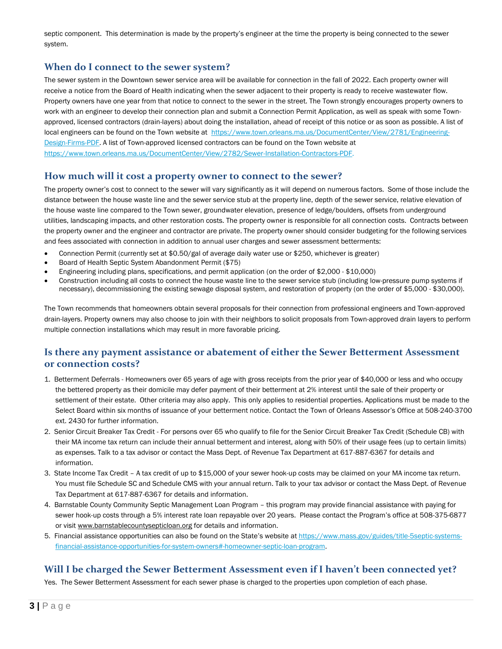septic component. This determination is made by the property's engineer at the time the property is being connected to the sewer system.

## **When do I connect to the sewer system?**

The sewer system in the Downtown sewer service area will be available for connection in the fall of 2022. Each property owner will receive a notice from the Board of Health indicating when the sewer adjacent to their property is ready to receive wastewater flow. Property owners have one year from that notice to connect to the sewer in the street. The Town strongly encourages property owners to work with an engineer to develop their connection plan and submit a Connection Permit Application, as well as speak with some Townapproved, licensed contractors (drain-layers) about doing the installation, ahead of receipt of this notice or as soon as possible. A list of local engineers can be found on the Town website at [https://www.town.orleans.ma.us/DocumentCenter/View/2781/Engineering-](https://www.town.orleans.ma.us/DocumentCenter/View/2781/Engineering-Design-Firms-PDF)[Design-Firms-PDF.](https://www.town.orleans.ma.us/DocumentCenter/View/2781/Engineering-Design-Firms-PDF) A list of Town-approved licensed contractors can be found on the Town website at [https://www.town.orleans.ma.us/DocumentCenter/View/2782/Sewer-Installation-Contractors-PDF.](https://www.town.orleans.ma.us/DocumentCenter/View/2782/Sewer-Installation-Contractors-PDF)

#### **How much will it cost a property owner to connect to the sewer?**

The property owner's cost to connect to the sewer will vary significantly as it will depend on numerous factors. Some of those include the distance between the house waste line and the sewer service stub at the property line, depth of the sewer service, relative elevation of the house waste line compared to the Town sewer, groundwater elevation, presence of ledge/boulders, offsets from underground utilities, landscaping impacts, and other restoration costs. The property owner is responsible for all connection costs. Contracts between the property owner and the engineer and contractor are private. The property owner should consider budgeting for the following services and fees associated with connection in addition to annual user charges and sewer assessment betterments:

- Connection Permit (currently set at \$0.50/gal of average daily water use or \$250, whichever is greater)
- Board of Health Septic System Abandonment Permit (\$75)
- Engineering including plans, specifications, and permit application (on the order of \$2,000 \$10,000)
- Construction including all costs to connect the house waste line to the sewer service stub (including low-pressure pump systems if necessary), decommissioning the existing sewage disposal system, and restoration of property (on the order of \$5,000 - \$30,000).

The Town recommends that homeowners obtain several proposals for their connection from professional engineers and Town-approved drain-layers. Property owners may also choose to join with their neighbors to solicit proposals from Town-approved drain layers to perform multiple connection installations which may result in more favorable pricing.

## **Is there any payment assistance or abatement of either the Sewer Betterment Assessment or connection costs?**

- 1. Betterment Deferrals Homeowners over 65 years of age with gross receipts from the prior year of \$40,000 or less and who occupy the bettered property as their domicile may defer payment of their betterment at 2% interest until the sale of their property or settlement of their estate. Other criteria may also apply. This only applies to residential properties. Applications must be made to the Select Board within six months of issuance of your betterment notice. Contact the Town of Orleans Assessor's Office at 508-240-3700 ext. 2430 for further information.
- 2. Senior Circuit Breaker Tax Credit For persons over 65 who qualify to file for the Senior Circuit Breaker Tax Credit (Schedule CB) with their MA income tax return can include their annual betterment and interest, along with 50% of their usage fees (up to certain limits) as expenses. Talk to a tax advisor or contact the Mass Dept. of Revenue Tax Department at 617-887-6367 for details and information.
- 3. State Income Tax Credit A tax credit of up to \$15,000 of your sewer hook-up costs may be claimed on your MA income tax return. You must file Schedule SC and Schedule CMS with your annual return. Talk to your tax advisor or contact the Mass Dept. of Revenue Tax Department at 617-887-6367 for details and information.
- 4. Barnstable County Community Septic Management Loan Program this program may provide financial assistance with paying for sewer hook-up costs through a 5% interest rate loan repayable over 20 years. Please contact the Program's office at 508-375-6877 or visit [www.barnstablecountysepticloan.org](http://www.barnstablecountysepticloan.org/) for details and information.
- 5. Financial assistance opportunities can also be found on the State's website a[t https://www.mass.gov/guides/title-5septic-systems](https://www.mass.gov/guides/title-5septic-systems-financial-assistance-opportunities-for-system-owners%23-homeowner-septic-loan-program)[financial-assistance-opportunities-for-system-owners#-homeowner-septic-loan-program.](https://www.mass.gov/guides/title-5septic-systems-financial-assistance-opportunities-for-system-owners%23-homeowner-septic-loan-program)

## **Will I be charged the Sewer Betterment Assessment even if I haven't been connected yet?**

Yes. The Sewer Betterment Assessment for each sewer phase is charged to the properties upon completion of each phase.